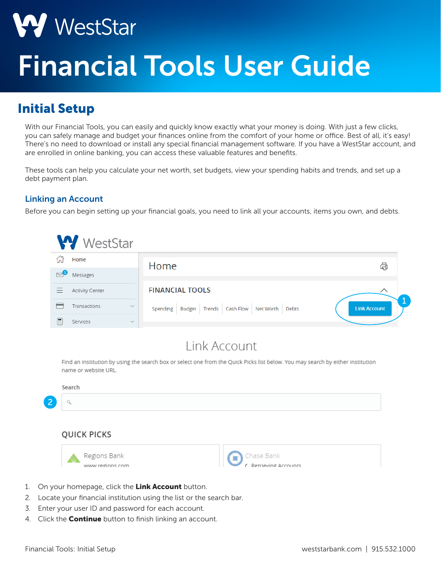

# Financial Tools User Guide

## Initial Setup

With our Financial Tools, you can easily and quickly know exactly what your money is doing. With just a few clicks, you can safely manage and budget your finances online from the comfort of your home or office. Best of all, it's easy! There's no need to download or install any special financial management software. If you have a WestStar account, and are enrolled in online banking, you can access these valuable features and benefits.

These tools can help you calculate your net worth, set budgets, view your spending habits and trends, and set up a debt payment plan.

#### Linking an Account

Before you can begin setting up your financial goals, you need to link all your accounts, items you own, and debts.



## Link Account

Find an institution by using the search box or select one from the Quick Picks list below. You may search by either institution name or website URL.



#### **QUICK PICKS** Regions Bank Chase Bank WWW.regions.com **C** Retrieving Accounts

- 1. On your homepage, click the Link Account button.
- 2. Locate your financial institution using the list or the search bar.
- 3. Enter your user ID and password for each account.
- 4. Click the **Continue** button to finish linking an account.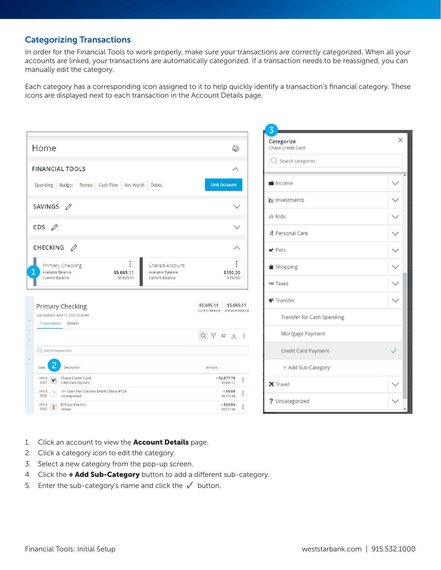#### Categorizing Transactions

In order for the Financial Tools to work properly, make sure your transactions are correctly categorized. When all your accounts are linked, your transactions are automatically categorized. If a transaction needs to be reassigned, you can manually edit the category.

Each category has a corresponding icon assigned to it to help quickly identify a transaction's financial category. These icons are displayed next to each transaction in the Account Details page.

| Home                                                                                       | ⊕                                   | Categorize<br>Chase Credit Card | $\times$     |
|--------------------------------------------------------------------------------------------|-------------------------------------|---------------------------------|--------------|
|                                                                                            |                                     | $Q$ Search categories           |              |
| <b>FINANCIAL TOOLS</b>                                                                     | $\wedge$                            |                                 |              |
| Spending Budget Trends Cash Flow Net Worth Debts                                           | <b>Link Account</b>                 | income                          | $\checkmark$ |
| SAVINGS <i>&amp;</i>                                                                       | $\checkmark$                        | Le Investments                  | $\checkmark$ |
|                                                                                            |                                     | 26 Kids                         | $\checkmark$ |
| CDS                                                                                        | $\checkmark$                        | 川 Personal Care                 |              |
| CHECKING 2                                                                                 | $\curvearrowright$                  | Pets                            | $\checkmark$ |
| Primary Checking<br>Shared Account<br>Available Balance<br>Available Balance<br>\$5,695.11 | $\vdots$<br>\$150.00                | Shopping                        | $\checkmark$ |
| <b>Current Balance</b><br>\$5,695.11<br><b>Current Balance</b>                             | \$150.00                            | TAX Taxes                       | $\checkmark$ |
| <b>Primary Checking</b>                                                                    | \$5,695.11<br>\$5,695.11            | ₹ Transfer                      | $\checkmark$ |
| Last Updated: April 11, 2022 10:30 AM<br><b>Transactions</b> Details                       | Current Balance   Available Balance | Transfer for Cash Spending      |              |
|                                                                                            | Q 了 \$2 上 :                         | Mortgage Payment                |              |
| $Q$ Search transactions                                                                    |                                     | Credit Card Payment             | ✓            |
| Description<br>Date                                                                        | Amount                              | + Add Sub-Category              |              |
| <b>Chase Credit Card</b><br>APR 8<br>€<br>2022<br>Credit Card Payment                      | $-$ \$2,877.78<br>\$5,695.11        | X Travel                        | $\checkmark$ |
| Over the Counter Debit Check #125<br>APR 8<br>$\odot$<br>2022<br>Uncategorized             | $-$ \$5.00<br>\$8,572.89            |                                 |              |
| El Paso Electric<br>APR <sub>5</sub><br>6<br>2022<br>Utilities                             | $-$ \$33.50<br>፡<br>\$8,577.89      | ? Uncategorized                 | $\checkmark$ |

- 1. Click an account to view the **Account Details** page.
- 2. Click a category icon to edit the category.
- 3. Select a new category from the pop-up screen.
- 4. Click the + Add Sub-Category button to add a different sub-category.
- 5. Enter the sub-category's name and click the  $\checkmark$  button.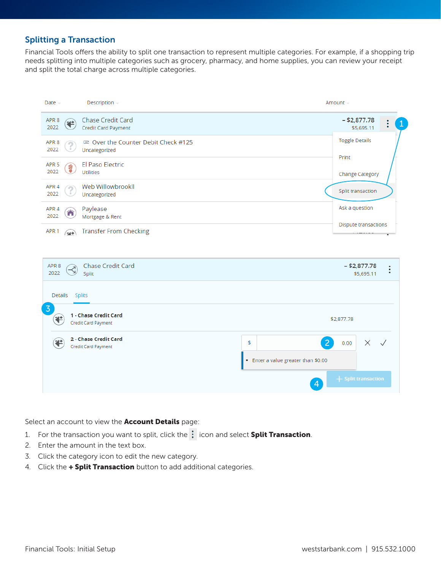#### Splitting a Transaction

Financial Tools offers the ability to split one transaction to represent multiple categories. For example, if a shopping trip needs splitting into multiple categories such as grocery, pharmacy, and home supplies, you can review your receipt and split the total charge across multiple categories.



Select an account to view the **Account Details** page:

- 1. For the transaction you want to split, click the  $\frac{1}{2}$  icon and select Split Transaction.
- 2. Enter the amount in the text box.
- 3. Click the category icon to edit the new category.
- 4. Click the + Split Transaction button to add additional categories.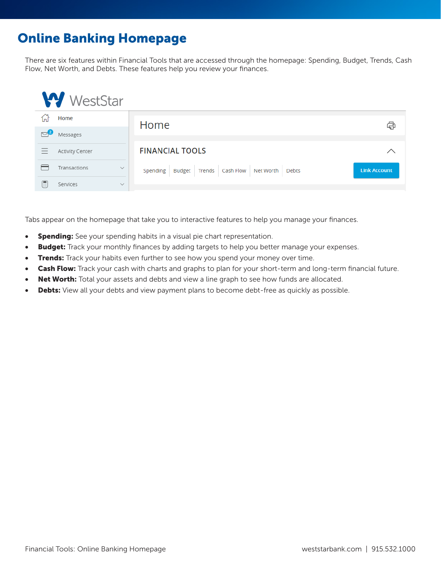## Online Banking Homepage

There are six features within Financial Tools that are accessed through the homepage: Spending, Budget, Trends, Cash Flow, Net Worth, and Debts. These features help you review your finances.

| <b>WestStar</b>               |                                                               |                     |
|-------------------------------|---------------------------------------------------------------|---------------------|
| ⋒<br>Home                     | Home                                                          | ⊕                   |
| $\mathbb{P}^2$<br>Messages    |                                                               |                     |
| Ξ<br>Activity Center          | <b>FINANCIAL TOOLS</b>                                        | ╱                   |
| Transactions<br>$\checkmark$  | Spending   Budget   Trends   Cash Flow   Net Worth  <br>Debts | <b>Link Account</b> |
| Æ<br>Services<br>$\checkmark$ |                                                               |                     |

Tabs appear on the homepage that take you to interactive features to help you manage your finances.

- **Spending:** See your spending habits in a visual pie chart representation.
- **Budget:** Track your monthly finances by adding targets to help you better manage your expenses.
- **Trends:** Track your habits even further to see how you spend your money over time.
- Cash Flow: Track your cash with charts and graphs to plan for your short-term and long-term financial future.
- Net Worth: Total your assets and debts and view a line graph to see how funds are allocated.
- **Debts:** View all your debts and view payment plans to become debt-free as quickly as possible.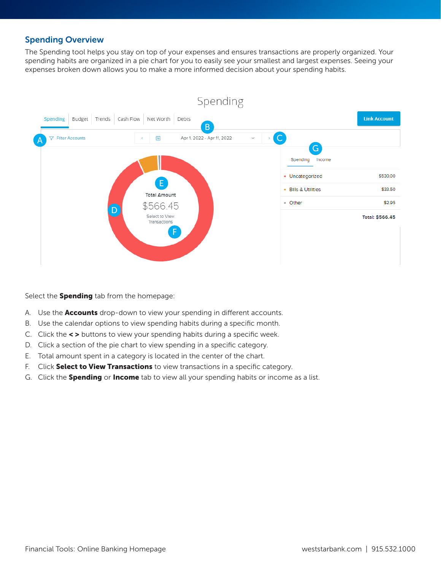#### Spending Overview

The Spending tool helps you stay on top of your expenses and ensures transactions are properly organized. Your spending habits are organized in a pie chart for you to easily see your smallest and largest expenses. Seeing your expenses broken down allows you to make a more informed decision about your spending habits.



Select the **Spending** tab from the homepage:

- A. Use the **Accounts** drop-down to view your spending in different accounts.
- B. Use the calendar options to view spending habits during a specific month.
- C. Click the < > buttons to view your spending habits during a specific week.
- D. Click a section of the pie chart to view spending in a specific category.
- E. Total amount spent in a category is located in the center of the chart.
- F. Click Select to View Transactions to view transactions in a specific category.
- G. Click the **Spending** or **Income** tab to view all your spending habits or income as a list.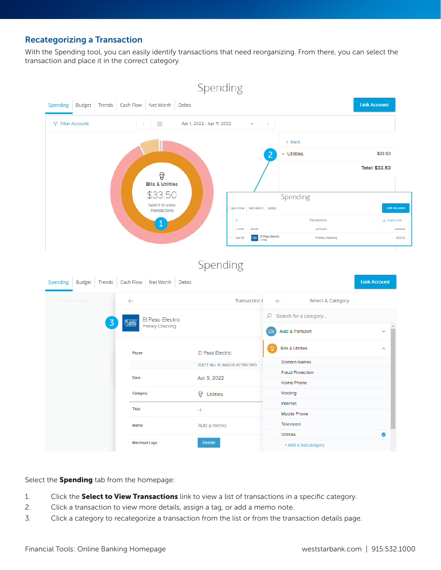#### Recategorizing a Transaction

With the Spending tool, you can easily identify transactions that need reorganizing. From there, you can select the transaction and place it in the correct category.



Select the **Spending** tab from the homepage:

- 1. Click the **Select to View Transactions** link to view a list of transactions in a specific category.
- 2. Click a transaction to view more details, assign a tag, or add a memo note.
- 3. Click a category to recategorize a transaction from the list or from the transaction details page.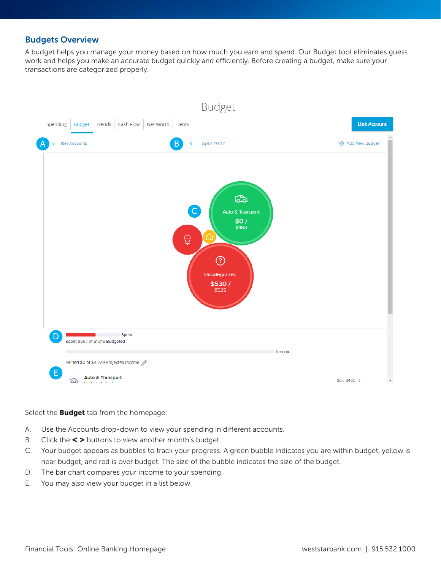#### Budgets Overview

A budget helps you manage your money based on how much you earn and spend. Our Budget tool eliminates guess work and helps you make an accurate budget quickly and efficiently. Before creating a budget, make sure your transactions are categorized properly.



Select the **Budget** tab from the homepage:

- A. Use the Accounts drop-down to view your spending in different accounts.
- B. Click the  $\leq$  > buttons to view another month's budget.
- C. Your budget appears as bubbles to track your progress. A green bubble indicates you are within budget, yellow is near budget, and red is over budget. The size of the bubble indicates the size of the budget.
- D. The bar chart compares your income to your spending.
- E. You may also view your budget in a list below.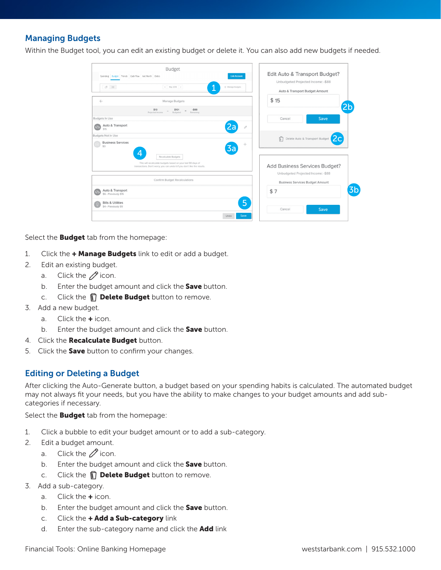### Managing Budgets

Within the Budget tool, you can edit an existing budget or delete it. You can also add new budgets if needed.

| Spending Budget Trends Cash Flow Net Worth Debts<br>Ĝ.<br>$\equiv$                                              | Budget<br><b>Link Account</b><br>$\leftarrow$ May 2018<br>1<br>- Manage Budgets                                                          | Edit Auto & Transport Budget?<br>Unbudgeted Projected Income: - \$88<br>Auto & Transport Budget Amount |
|-----------------------------------------------------------------------------------------------------------------|------------------------------------------------------------------------------------------------------------------------------------------|--------------------------------------------------------------------------------------------------------|
| $\leftarrow$                                                                                                    | Manage Budgets                                                                                                                           | \$15                                                                                                   |
| <b>Budgets In Use</b><br>Auto & Transport<br>63<br>\$15                                                         | \$13<br>\$101<br>$-$ \$88<br>$\sim$<br>Projected Income<br>Remaining<br>Budgeted<br>2а                                                   | Save<br>Cancel<br>0                                                                                    |
| Budgets Not In Use<br><b>Business Services</b><br>$\textcolor{blue}{\textcolor{blue}{\boldsymbol{\Xi}}}$<br>\$0 | 3a<br>Recalculate Budgets                                                                                                                | $\mathbb{f}$<br>2c<br>Delete Auto & Transport Budget<br>$^{+}$                                         |
|                                                                                                                 | This will recalculate budgets based on your last 90 days of<br>transactions. Don't worry, you can undo it if you don't like the results. | Add Business Services Budget?<br>Unbudgeted Projected Income: - \$88                                   |
| Auto & Transport                                                                                                | Confirm Budget Recalculations                                                                                                            | <b>Business Services Budget Amount</b><br>3 <sub>b</sub>                                               |
| 62<br>\$6 - Previously \$15<br><b>Bills &amp; Utilities</b><br>ਿਚ<br>\$4 - Previously \$9                       | Undo<br>Save                                                                                                                             | \$7<br>5<br>Cancel<br>Save                                                                             |

Select the **Budget** tab from the homepage:

- 1. Click the  $+$  Manage Budgets link to edit or add a budget.
- 2. Edit an existing budget.
	- a. Click the  $\mathscr D$  icon.
	- b. Enter the budget amount and click the **Save** button.
	- c. Click the  $\mathbb D$  Delete Budget button to remove.
- 3. Add a new budget.
	- a. Click the **+** icon.
		- b. Enter the budget amount and click the **Save** button.
- 4. Click the Recalculate Budget button.
- 5. Click the **Save** button to confirm your changes.

#### Editing or Deleting a Budget

After clicking the Auto-Generate button, a budget based on your spending habits is calculated. The automated budget may not always fit your needs, but you have the ability to make changes to your budget amounts and add subcategories if necessary.

Select the **Budget** tab from the homepage:

- 1. Click a bubble to edit your budget amount or to add a sub-category.
- 2. Edit a budget amount.
	- a. Click the  $\emptyset$  icon.
	- b. Enter the budget amount and click the **Save** button.
	- c. Click the  $\mathbb D$  Delete Budget button to remove.
- 3. Add a sub-category.
	- a. Click the  $+$  icon.
	- b. Enter the budget amount and click the **Save** button.
	- c. Click the + Add a Sub-category link
	- d. Enter the sub-category name and click the **Add** link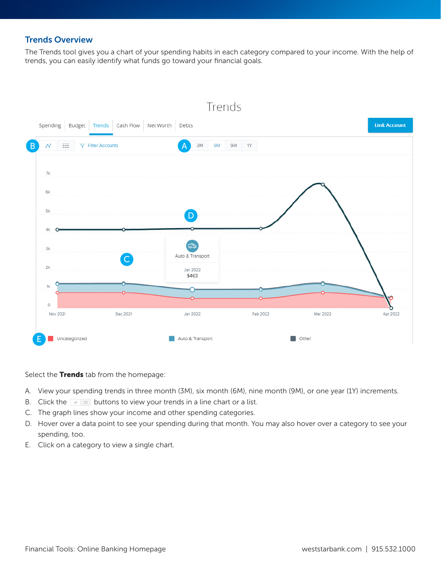#### Trends Overview

The Trends tool gives you a chart of your spending habits in each category compared to your income. With the help of trends, you can easily identify what funds go toward your financial goals.



Select the Trends tab from the homepage:

- A. View your spending trends in three month (3M), six month (6M), nine month (9M), or one year (1Y) increments.
- B. Click the  $\sqrt{a} \equiv$  buttons to view your trends in a line chart or a list.
- C. The graph lines show your income and other spending categories.
- D. Hover over a data point to see your spending during that month. You may also hover over a category to see your spending, too.
- E. Click on a category to view a single chart.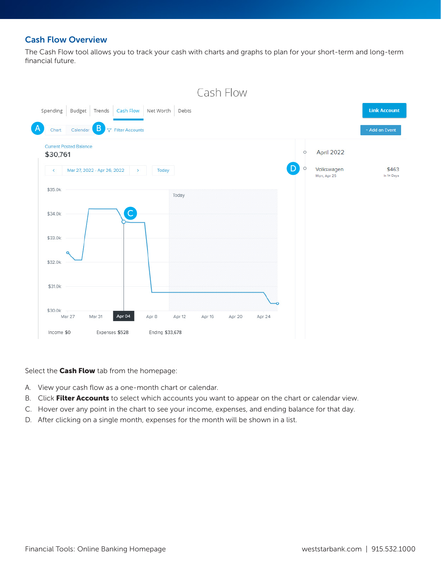#### Cash Flow Overview

The Cash Flow tool allows you to track your cash with charts and graphs to plan for your short-term and long-term financial future.



Select the Cash Flow tab from the homepage:

- A. View your cash flow as a one-month chart or calendar.
- B. Click Filter Accounts to select which accounts you want to appear on the chart or calendar view.
- C. Hover over any point in the chart to see your income, expenses, and ending balance for that day.
- D. After clicking on a single month, expenses for the month will be shown in a list.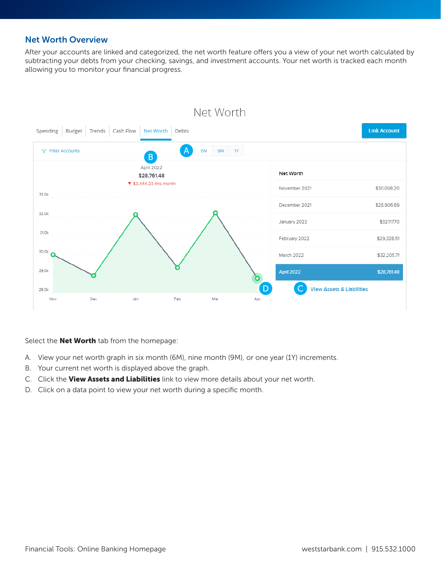#### Net Worth Overview

After your accounts are linked and categorized, the net worth feature offers you a view of your net worth calculated by subtracting your debts from your checking, savings, and investment accounts. Your net worth is tracked each month allowing you to monitor your financial progress.



Select the **Net Worth** tab from the homepage:

- A. View your net worth graph in six month (6M), nine month (9M), or one year (1Y) increments.
- B. Your current net worth is displayed above the graph.
- C. Click the View Assets and Liabilities link to view more details about your net worth.
- D. Click on a data point to view your net worth during a specific month.